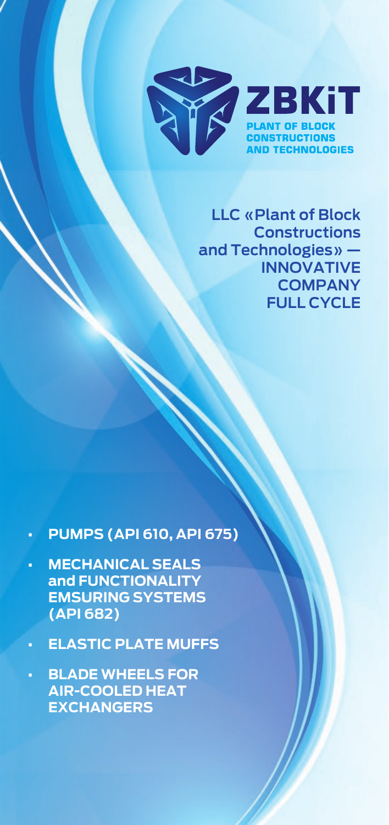

**LLC «Plant of Block Constructions and Technologies» — INNOVATIVE COMPANY FULL CYCLE**

- **PUMPS (API 610, API 675)**
- **MECHANICAL SEALS and FUNCTIONALITY EMSURING SYSTEMS (API 682)**
- **ELASTIC PLATE MUFFS**
- **BLADE WHEELS FOR AIR-COOLED HEAT EXCHANGERS**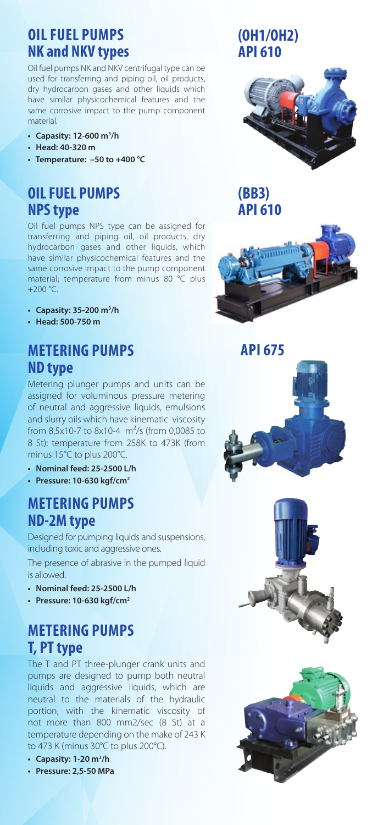## **OIL FUEL PUMPS NK and NKV types END SEALING**

Oil fuel pumps NK and NKV centrifugal type can be used for transferring and piping oil, oil products, dry hydrocarbon gases and other liquids which have similar physicochemical features and the same corrosive impact to the pump component material.

- **Capasity: 12-600 m3 /h**
- **Head: 40-320 m**
- **Temperature: –50 to +400 °С**

### **OIL FUEL PUMPS NPS type**

Oil fuel pumps NPS type can be assigned for transferring and piping oil, oil products, dry hydrocarbon gases and other liquids, which have similar physicochemical features and the same corrosive impact to the pump component material; temperature from minus 80 °C plus  $+200 °C$ .

- **Capasity: 35-200 m3 /h**
- **Head: 500-750 m**

### **МETERING PUMPS ND type**

Metering plunger pumps and units can be assigned for voluminous pressure metering of neutral and aggressive liquids, emulsions and slurry oils which have kinematic viscosity from 8,5x10-7 to 8x10-4 m²/s (from 0,0085 to 8 St); temperature from 258K to 473K (from minus 15°C to plus 200°C.

- **Nominal feed: 25-2500 L/h**
- **Pressure: 10-630 kgf/cm2**

### **МETERING PUMPS ND-2M type**

Designed for pumping liquids and suspensions, including toxic and aggressive ones.

The presence of abrasive in the pumped liquid is allowed.

- **Nominal feed: 25-2500 L/h**
- **Pressure: 10-630 kgf/cm2**

### **МETERING PUMPS T, PT type**

The T and PT three-plunger crank units and pumps are designed to pump both neutral liquids and aggressive liquids, which are neutral to the materials of the hydraulic portion, with the kinematic viscosity of not more than 800 mm2/sec (8 St) at a temperature depending on the make of 243 K to 473 K (minus 30°С to plus 200°С).

- **Capasity: 1-20 m3 /h**
- **Pressure: 2,5-50 MPa**

### **(OH1/OH2) АРІ 610**



**(ВВЗ) АРІ 610**







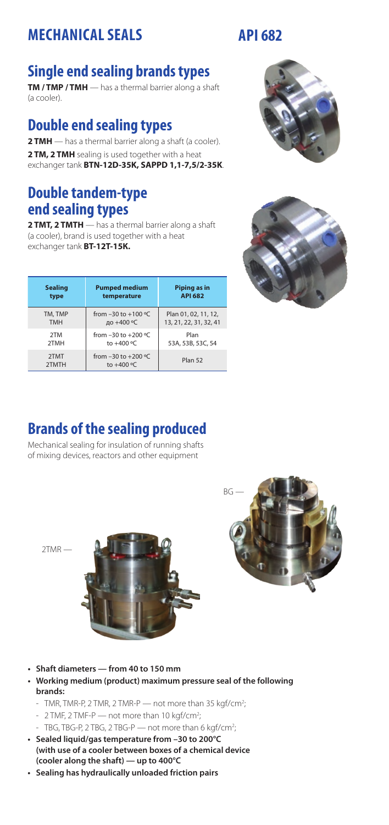### **NECHANICAL SEALS API 682 MECHANICAL SEALS**

## **Single end sealing brands types**

**TM / TMP / TMH** — has a thermal barrier along a shaft (a cooler).

### **Double end sealing types**

**2 TMH** — has a thermal barrier along a shaft (a cooler). **2 TM, 2 TMH** sealing is used together with a heat exchanger tank **BTN-12D-35K, SAPPD 1,1-7,5/2-35K**.

### **Double tandem-type end sealing types**

**2 TMT, 2 TMTH** — has a thermal barrier along a shaft (a cooler), brand is used together with a heat exchanger tank **BT-12T-15К.**

| <b>Sealing</b> | <b>Pumped medium</b>                    | Piping as in           |
|----------------|-----------------------------------------|------------------------|
| type           | temperature                             | <b>API 682</b>         |
| TM, TMP        | from $-30$ to $+100$ °C                 | Plan 01, 02, 11, 12,   |
| <b>TMH</b>     | до +400 °С                              | 13, 21, 22, 31, 32, 41 |
| 2TM            | from $-30$ to $+200$ °C                 | Plan                   |
| 2TMH           | to $+400$ °C                            | 53A, 53B, 53C, 54      |
| 2TMT<br>2TMTH  | from $-30$ to $+200$ °C<br>to $+400$ °C | Plan 52                |



# **Brands of the sealing produced**

Mechanical sealing for insulation of running shafts of mixing devices, reactors and other equipment

2ТМR —





**• Working medium (product) maximum pressure seal of the following brands:**

;

- TMR, TMR-P, 2 TMR, 2 TMR-P  $-$  not more than 35 kgf/cm<sup>2</sup>; ;
- $2$  TMF,  $2$  TMF-P not more than 10 kgf/cm<sup>2</sup>;
- TBG, TBG-P, 2 TBG, 2 TBG-P  $-$  not more than 6 kgf/cm<sup>2</sup>: ;
- **Sealed liquid/gas temperature from –30 to 200°C (with use of a cooler between boxes of a chemical device (cooler along the shaft) — up to 400°C**
- **Sealing has hydraulically unloaded friction pairs**



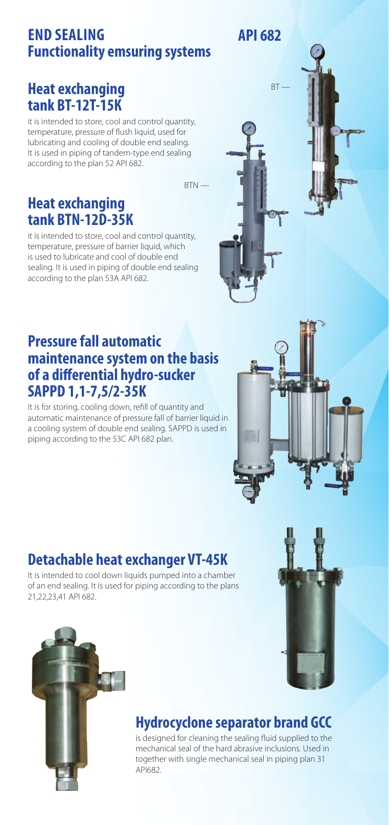### **NK and NKV types END SEALING Functionality emsuring systems АРІ 682 АРІ 682**

### **Heat exchanging tank BT-12T-15К**

it is intended to store, cool and control quantity, temperature, pressure of flush liquid, used for lubricating and cooling of double end sealing. It is used in piping of tandem-type end sealing according to the plan 52 API 682.

 $RTN -$ 

**Heat exchanging tank BTN-12D-35К**

it is intended to store, cool and control quantity, temperature, pressure of barrier liquid, which is used to lubricate and cool of double end sealing. It is used in piping of double end sealing according to the plan 53A API 682.

### **Pressure fall automatic maintenance system on the basis of a differential hydro-sucker SAPPD 1,1-7,5/2-35K**

It is for storing, cooling down, refill of quantity and automatic maintenance of pressure fall of barrier liquid in a cooling system of double end sealing. SAPPD is used in piping according to the 53C API 682 plan.



 $RT$ 

# **Detachable heat exchanger VT-45K**

It is intended to cool down liquids pumped into a chamber of an end sealing. It is used for piping according to the plans 21,22,23,41 API 682.





### **Hydrocyclone separator brand GCC**

is designed for cleaning the sealing fluid supplied to the mechanical seal of the hard abrasive inclusions. Used in together with single mechanical seal in piping plan 31 API682.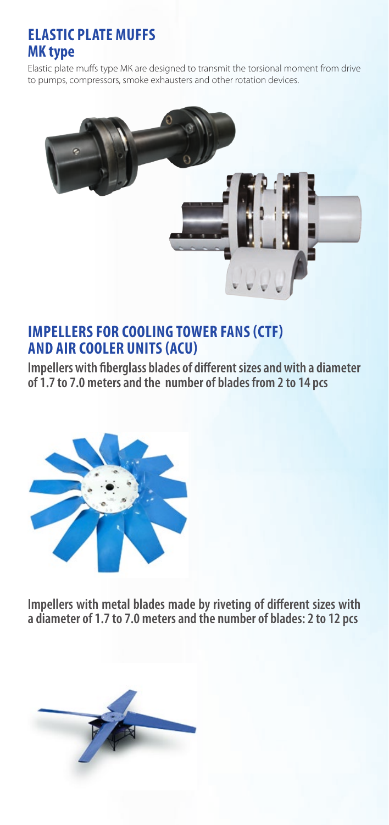### **ELASTIC PLATE MUFFS MK type**

Elastic plate muffs type МК are designed to transmit the torsional moment from drive to pumps, compressors, smoke exhausters and other rotation devices.



### **IMPELLERS FOR COOLING TOWER FANS (CTF) AND AIR COOLER UNITS (ACU)**

**Impellers with fiberglass blades of different sizes and with a diameter of 1.7 to 7.0 meters and the number of blades from 2 to 14 pcs**



**Impellers with metal blades made by riveting of different sizes with a diameter of 1.7 to 7.0 meters and the number of blades: 2 to 12 pcs**